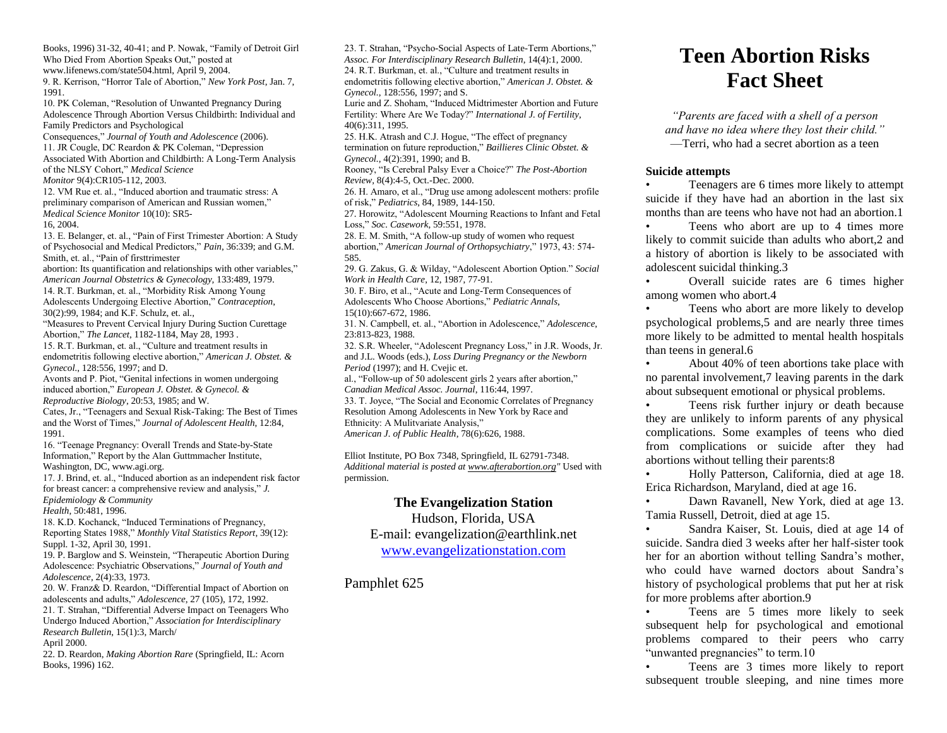Books, 1996) 31-32, 40-41; and P. Nowak, "Family of Detroit Girl Who Died From Abortion Speaks Out," posted at www.lifenews.com/state504.html, April 9, 2004. 9. R. Kerrison, "Horror Tale of Abortion," *New York Post*, Jan. 7, 1991. 10. PK Coleman, "Resolution of Unwanted Pregnancy During Adolescence Through Abortion Versus Childbirth: Individual and Family Predictors and Psychological Consequences," *Journal of Youth and Adolescence* (2006). 11. JR Cougle, DC Reardon & PK Coleman, "Depression Associated With Abortion and Childbirth: A Long-Term Analysis of the NLSY Cohort," *Medical Science Monitor* 9(4):CR105-112, 2003. 12. VM Rue et. al., "Induced abortion and traumatic stress: A preliminary comparison of American and Russian women," *Medical Science Monitor* 10(10): SR5- 16, 2004. 13. E. Belanger, et. al., "Pain of First Trimester Abortion: A Study of Psychosocial and Medical Predictors," *Pain*, 36:339; and G.M. Smith, et. al., "Pain of firsttrimester abortion: Its quantification and relationships with other variables," *American Journal Obstetrics & Gynecology,* 133:489, 1979. 14. R.T. Burkman, et. al., "Morbidity Risk Among Young Adolescents Undergoing Elective Abortion," *Contraception*, 30(2):99, 1984; and K.F. Schulz, et. al., "Measures to Prevent Cervical Injury During Suction Curettage Abortion," *The Lancet*, 1182-1184, May 28, 1993 . 15. R.T. Burkman, et. al., "Culture and treatment results in endometritis following elective abortion," *American J. Obstet. & Gynecol.*, 128:556, 1997; and D. Avonts and P. Piot, "Genital infections in women undergoing induced abortion," *European J. Obstet. & Gynecol. & Reproductive Biology*, 20:53, 1985; and W. Cates, Jr., "Teenagers and Sexual Risk-Taking: The Best of Times and the Worst of Times," *Journal of Adolescent Health*, 12:84, 1991. 16. "Teenage Pregnancy: Overall Trends and State-by-State Information," Report by the Alan Guttmmacher Institute, Washington, DC, www.agi.org. 17. J. Brind, et. al., "Induced abortion as an independent risk factor for breast cancer: a comprehensive review and analysis," *J. Epidemiology & Community Health*, 50:481, 1996. 18. K.D. Kochanck, "Induced Terminations of Pregnancy, Reporting States 1988," *Monthly Vital Statistics Report*, 39(12): Suppl. 1-32, April 30, 1991. 19. P. Barglow and S. Weinstein, "Therapeutic Abortion During Adolescence: Psychiatric Observations," *Journal of Youth and Adolescence*, 2(4):33, 1973. 20. W. Franz& D. Reardon, "Differential Impact of Abortion on adolescents and adults," *Adolescence*, 27 (105), 172, 1992. 21. T. Strahan, "Differential Adverse Impact on Teenagers Who Undergo Induced Abortion," *Association for Interdisciplinary Research Bulletin*, 15(1):3, March/ April 2000. 22. D. Reardon, *Making Abortion Rare* (Springfield, IL: Acorn Books, 1996) 162.

23. T. Strahan, "Psycho-Social Aspects of Late-Term Abortions," *Assoc. For Interdisciplinary Research Bulletin*, 14(4):1, 2000. 24. R.T. Burkman, et. al., "Culture and treatment results in endometritis following elective abortion," *American J. Obstet. & Gynecol.*, 128:556, 1997; and S. Lurie and Z. Shoham, "Induced Midtrimester Abortion and Future Fertility: Where Are We Today?" *International J. of Fertility*, 40(6):311, 1995. 25. H.K. Atrash and C.J. Hogue, "The effect of pregnancy termination on future reproduction," *Baillieres Clinic Obstet. & Gynecol.*, 4(2):391, 1990; and B. Rooney, "Is Cerebral Palsy Ever a Choice?" *The Post-Abortion Review,* 8(4):4-5, Oct.-Dec. 2000. 26. H. Amaro, et al., "Drug use among adolescent mothers: profile of risk," *Pediatrics*, 84, 1989, 144-150. 27. Horowitz, "Adolescent Mourning Reactions to Infant and Fetal Loss," *Soc. Casework*, 59:551, 1978. 28. E. M. Smith, "A follow-up study of women who request abortion," *American Journal of Orthopsychiatry*," 1973, 43: 574- 585. 29. G. Zakus, G. & Wilday, "Adolescent Abortion Option." *Social Work in Health Care*, 12, 1987, 77-91. 30. F. Biro, et al., "Acute and Long-Term Consequences of Adolescents Who Choose Abortions," *Pediatric Annals*, 15(10):667-672, 1986. 31. N. Campbell, et. al., "Abortion in Adolescence," *Adolescence*, 23:813-823, 1988. 32. S.R. Wheeler, "Adolescent Pregnancy Loss," in J.R. Woods, Jr. and J.L. Woods (eds.), *Loss During Pregnancy or the Newborn Period* (1997); and H. Cvejic et. al., "Follow-up of 50 adolescent girls 2 years after abortion," *Canadian Medical Assoc. Journal*, 116:44, 1997. 33. T. Joyce, "The Social and Economic Correlates of Pregnancy Resolution Among Adolescents in New York by Race and Ethnicity: A Mulitvariate Analysis," *American J. of Public Health*, 78(6):626, 1988. Elliot Institute, PO Box 7348, Springfield, IL 62791-7348. *Additional material is posted a[t www.afterabortion.org"](http://www.afterabortion.org/)* Used with permission.

## **The Evangelization Station**

Hudson, Florida, USA E-mail: evangelization@earthlink.net [www.evangelizationstation.com](http://www.pjpiisoe.org/)

Pamphlet 625

# **Teen Abortion Risks Fact Sheet**

*"Parents are faced with a shell of a person and have no idea where they lost their child."* —Terri, who had a secret abortion as a teen

#### **Suicide attempts**

• Teenagers are 6 times more likely to attempt suicide if they have had an abortion in the last six months than are teens who have not had an abortion.1

Teens who abort are up to 4 times more likely to commit suicide than adults who abort,2 and a history of abortion is likely to be associated with adolescent suicidal thinking.3

• Overall suicide rates are 6 times higher among women who abort.4

Teens who abort are more likely to develop psychological problems,5 and are nearly three times more likely to be admitted to mental health hospitals than teens in general.6

• About 40% of teen abortions take place with no parental involvement,7 leaving parents in the dark about subsequent emotional or physical problems.

Teens risk further injury or death because they are unlikely to inform parents of any physical complications. Some examples of teens who died from complications or suicide after they had abortions without telling their parents:8

• Holly Patterson, California, died at age 18. Erica Richardson, Maryland, died at age 16.

• Dawn Ravanell, New York, died at age 13. Tamia Russell, Detroit, died at age 15.

• Sandra Kaiser, St. Louis, died at age 14 of suicide. Sandra died 3 weeks after her half-sister took her for an abortion without telling Sandra's mother, who could have warned doctors about Sandra's history of psychological problems that put her at risk for more problems after abortion.9

• Teens are 5 times more likely to seek subsequent help for psychological and emotional problems compared to their peers who carry "unwanted pregnancies" to term.10

• Teens are 3 times more likely to report subsequent trouble sleeping, and nine times more